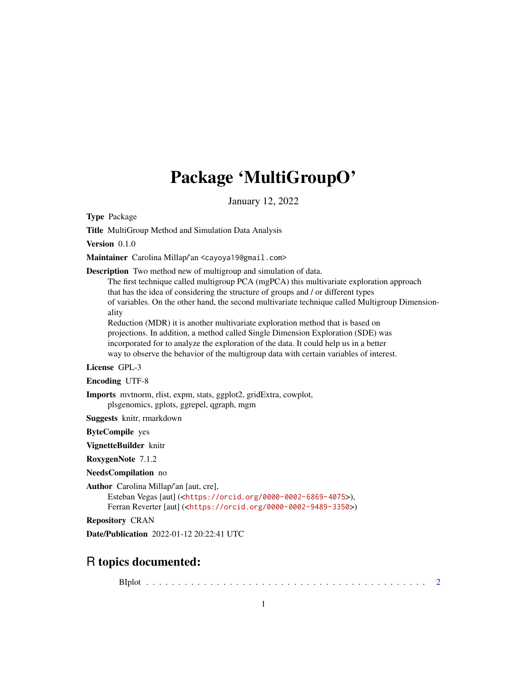## Package 'MultiGroupO'

January 12, 2022

Type Package

Title MultiGroup Method and Simulation Data Analysis

Version 0.1.0

Maintainer Carolina Millap/'an <cayoya19@gmail.com>

Description Two method new of multigroup and simulation of data.

The first technique called multigroup PCA (mgPCA) this multivariate exploration approach that has the idea of considering the structure of groups and / or different types of variables. On the other hand, the second multivariate technique called Multigroup Dimensionality

Reduction (MDR) it is another multivariate exploration method that is based on projections. In addition, a method called Single Dimension Exploration (SDE) was incorporated for to analyze the exploration of the data. It could help us in a better way to observe the behavior of the multigroup data with certain variables of interest.

License GPL-3

Encoding UTF-8

Imports mvtnorm, rlist, expm, stats, ggplot2, gridExtra, cowplot, plsgenomics, gplots, ggrepel, qgraph, mgm

Suggests knitr, rmarkdown

ByteCompile yes

VignetteBuilder knitr

RoxygenNote 7.1.2

NeedsCompilation no

Author Carolina Millap/'an [aut, cre],

Esteban Vegas [aut] (<<https://orcid.org/0000-0002-6869-4075>>), Ferran Reverter [aut] (<<https://orcid.org/0000-0002-9489-3350>>)

Repository CRAN

Date/Publication 2022-01-12 20:22:41 UTC

### R topics documented:

BIplot . . . . . . . . . . . . . . . . . . . . . . . . . . . . . . . . . . . . . . . . . . . . [2](#page-1-0)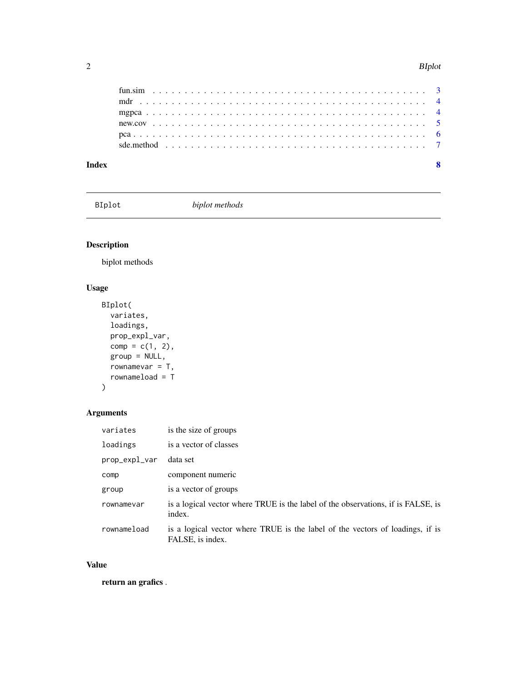#### <span id="page-1-0"></span>2 BIplot

| Index |  |  |  |  |  |  |  |  |  |  |  |  |  |  |  |  |  |  |  |  |  |
|-------|--|--|--|--|--|--|--|--|--|--|--|--|--|--|--|--|--|--|--|--|--|

BIplot *biplot methods*

#### Description

biplot methods

#### Usage

```
BIplot(
 variates,
 loadings,
 prop_expl_var,
 comp = c(1, 2),group = NULL,
 rownamevar = T,
  rownameload = T
)
```
#### Arguments

| variates      | is the size of groups                                                                             |
|---------------|---------------------------------------------------------------------------------------------------|
| loadings      | is a vector of classes                                                                            |
| prop_expl_var | data set                                                                                          |
| comp          | component numeric                                                                                 |
| group         | is a vector of groups                                                                             |
| rownamevar    | is a logical vector where TRUE is the label of the observations, if is FALSE, is<br>index.        |
| rownameload   | is a logical vector where TRUE is the label of the vectors of loadings, if is<br>FALSE, is index. |

#### Value

return an grafics .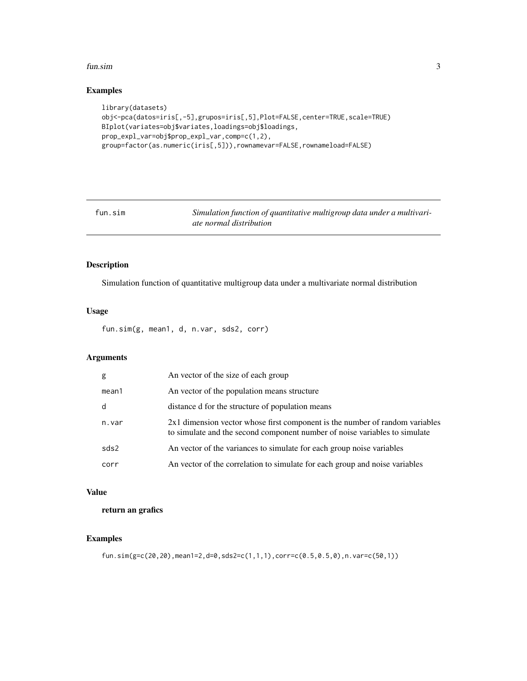#### <span id="page-2-0"></span>fun.sim 3

#### Examples

```
library(datasets)
obj<-pca(datos=iris[,-5],grupos=iris[,5],Plot=FALSE,center=TRUE,scale=TRUE)
BIplot(variates=obj$variates,loadings=obj$loadings,
prop_expl_var=obj$prop_expl_var,comp=c(1,2),
group=factor(as.numeric(iris[,5])),rownamevar=FALSE,rownameload=FALSE)
```
fun.sim *Simulation function of quantitative multigroup data under a multivariate normal distribution*

#### Description

Simulation function of quantitative multigroup data under a multivariate normal distribution

#### Usage

fun.sim(g, mean1, d, n.var, sds2, corr)

#### Arguments

| g     | An vector of the size of each group                                                                                                                        |
|-------|------------------------------------------------------------------------------------------------------------------------------------------------------------|
| mean1 | An vector of the population means structure                                                                                                                |
| d     | distance d for the structure of population means                                                                                                           |
| n.var | 2x1 dimension vector whose first component is the number of random variables<br>to simulate and the second component number of noise variables to simulate |
| sds2  | An vector of the variances to simulate for each group noise variables                                                                                      |
| corr  | An vector of the correlation to simulate for each group and noise variables                                                                                |

#### Value

return an grafics

#### Examples

```
fun.sim(g=c(20,20),mean1=2,d=0,sds2=c(1,1,1),corr=c(0.5,0.5,0),n.var=c(50,1))
```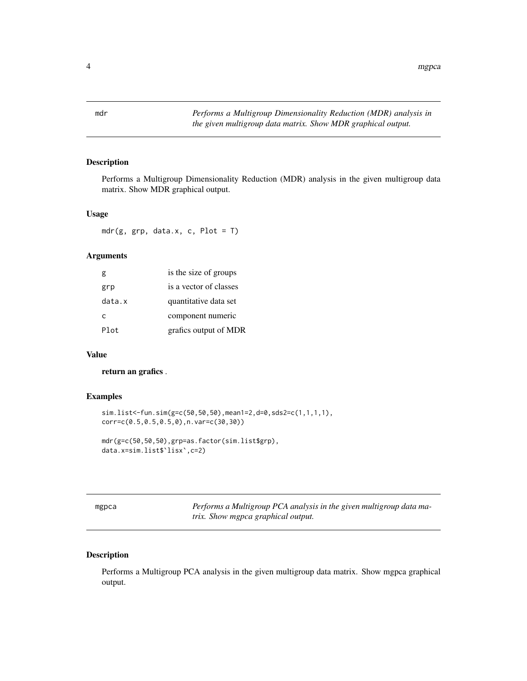<span id="page-3-0"></span>

#### Description

Performs a Multigroup Dimensionality Reduction (MDR) analysis in the given multigroup data matrix. Show MDR graphical output.

#### Usage

 $mdr(g, grp, data.x, c, Plot = T)$ 

#### Arguments

| g      | is the size of groups  |
|--------|------------------------|
| grp    | is a vector of classes |
| data.x | quantitative data set  |
| C      | component numeric      |
| Plot   | grafics output of MDR  |

#### Value

return an grafics .

#### Examples

```
sim.list<-fun.sim(g=c(50,50,50),mean1=2,d=0,sds2=c(1,1,1,1),
corr=c(0.5,0.5,0.5,0),n.var=c(30,30))
```

```
mdr(g=c(50,50,50),grp=as.factor(sim.list$grp),
data.x=sim.list$`lisx`,c=2)
```
mgpca *Performs a Multigroup PCA analysis in the given multigroup data matrix. Show mgpca graphical output.*

#### Description

Performs a Multigroup PCA analysis in the given multigroup data matrix. Show mgpca graphical output.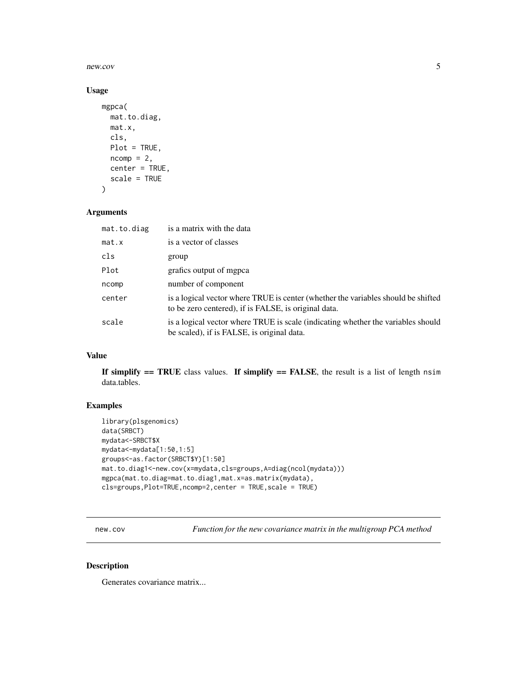<span id="page-4-0"></span>new.cov 5

#### Usage

```
mgpca(
  mat.to.diag,
  mat.x,
  cls,
  Plot = TRUE,
  ncomp = 2,
  center = TRUE,
  scale = TRUE
\mathcal{E}
```
#### Arguments

| mat.to.diag | is a matrix with the data                                                                                                                 |
|-------------|-------------------------------------------------------------------------------------------------------------------------------------------|
| mat.x       | is a vector of classes                                                                                                                    |
| cls         | group                                                                                                                                     |
| Plot        | grafics output of mgpca                                                                                                                   |
| ncomp       | number of component                                                                                                                       |
| center      | is a logical vector where TRUE is center (whether the variables should be shifted<br>to be zero centered), if is FALSE, is original data. |
| scale       | is a logical vector where TRUE is scale (indicating whether the variables should<br>be scaled), if is FALSE, is original data.            |

#### Value

If simplify  $==$  TRUE class values. If simplify  $==$  FALSE, the result is a list of length nsim data.tables.

#### Examples

```
library(plsgenomics)
data(SRBCT)
mydata<-SRBCT$X
mydata<-mydata[1:50,1:5]
groups<-as.factor(SRBCT$Y)[1:50]
mat.to.diag1<-new.cov(x=mydata,cls=groups,A=diag(ncol(mydata)))
mgpca(mat.to.diag=mat.to.diag1,mat.x=as.matrix(mydata),
cls=groups,Plot=TRUE,ncomp=2,center = TRUE,scale = TRUE)
```
new.cov *Function for the new covariance matrix in the multigroup PCA method*

#### Description

Generates covariance matrix...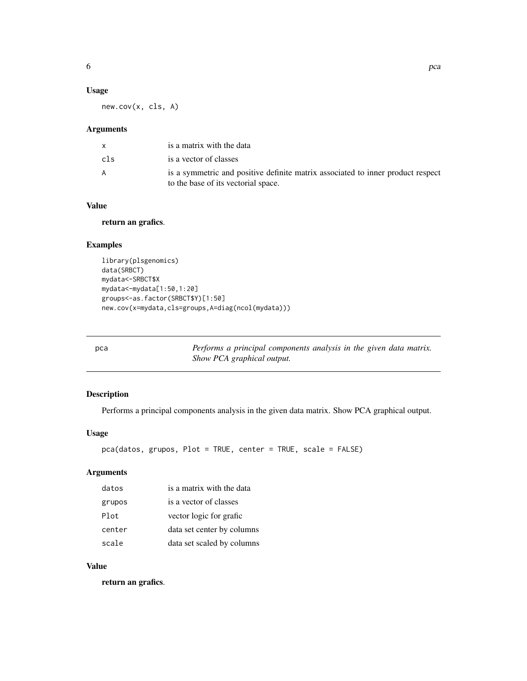#### <span id="page-5-0"></span>Usage

new.cov(x, cls, A)

#### Arguments

|     | is a matrix with the data                                                                                              |
|-----|------------------------------------------------------------------------------------------------------------------------|
| cls | is a vector of classes                                                                                                 |
| A   | is a symmetric and positive definite matrix associated to inner product respect<br>to the base of its vectorial space. |

#### Value

#### return an grafics.

#### Examples

```
library(plsgenomics)
data(SRBCT)
mydata<-SRBCT$X
mydata<-mydata[1:50,1:20]
groups<-as.factor(SRBCT$Y)[1:50]
new.cov(x=mydata,cls=groups,A=diag(ncol(mydata)))
```
pca *Performs a principal components analysis in the given data matrix. Show PCA graphical output.*

#### Description

Performs a principal components analysis in the given data matrix. Show PCA graphical output.

#### Usage

```
pca(datos, grupos, Plot = TRUE, center = TRUE, scale = FALSE)
```
#### Arguments

| datos  | is a matrix with the data  |
|--------|----------------------------|
| grupos | is a vector of classes     |
| Plot   | vector logic for grafic    |
| center | data set center by columns |
| scale  | data set scaled by columns |

#### Value

return an grafics.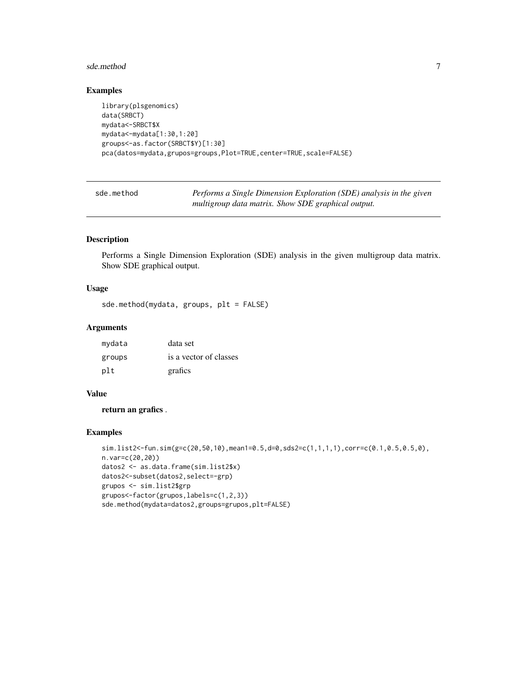#### <span id="page-6-0"></span>sde.method 7

#### Examples

```
library(plsgenomics)
data(SRBCT)
mydata<-SRBCT$X
mydata<-mydata[1:30,1:20]
groups<-as.factor(SRBCT$Y)[1:30]
pca(datos=mydata,grupos=groups,Plot=TRUE,center=TRUE,scale=FALSE)
```
sde.method *Performs a Single Dimension Exploration (SDE) analysis in the given multigroup data matrix. Show SDE graphical output.*

#### Description

Performs a Single Dimension Exploration (SDE) analysis in the given multigroup data matrix. Show SDE graphical output.

#### Usage

sde.method(mydata, groups, plt = FALSE)

#### Arguments

| mydata | data set               |
|--------|------------------------|
| groups | is a vector of classes |
| plt    | grafics                |

#### Value

return an grafics .

#### Examples

```
sim.list2<-fun.sim(g=c(20,50,10),mean1=0.5,d=0,sds2=c(1,1,1,1),corr=c(0.1,0.5,0.5,0),
n.var=c(20,20))
datos2 <- as.data.frame(sim.list2$x)
datos2<-subset(datos2,select=-grp)
grupos <- sim.list2$grp
grupos<-factor(grupos,labels=c(1,2,3))
sde.method(mydata=datos2,groups=grupos,plt=FALSE)
```